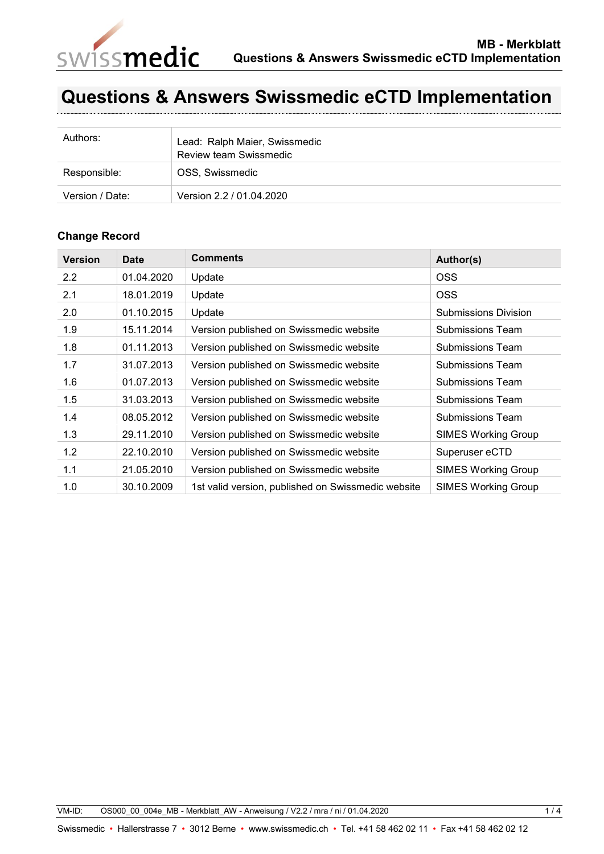

## **Questions & Answers Swissmedic eCTD Implementation**

| Authors:        | Lead: Ralph Maier, Swissmedic<br>Review team Swissmedic |
|-----------------|---------------------------------------------------------|
| Responsible:    | OSS, Swissmedic                                         |
| Version / Date: | Version 2.2 / 01.04.2020                                |

## **Change Record**

| <b>Version</b> | <b>Date</b> | <b>Comments</b>                                    | Author(s)                   |
|----------------|-------------|----------------------------------------------------|-----------------------------|
| 2.2            | 01.04.2020  | Update                                             | OSS <sub></sub>             |
| 2.1            | 18.01.2019  | Update                                             | <b>OSS</b>                  |
| 2.0            | 01.10.2015  | Update                                             | <b>Submissions Division</b> |
| 1.9            | 15.11.2014  | Version published on Swissmedic website            | Submissions Team            |
| 1.8            | 01.11.2013  | Version published on Swissmedic website            | Submissions Team            |
| 1.7            | 31.07.2013  | Version published on Swissmedic website            | <b>Submissions Team</b>     |
| 1.6            | 01.07.2013  | Version published on Swissmedic website            | <b>Submissions Team</b>     |
| 1.5            | 31.03.2013  | Version published on Swissmedic website            | Submissions Team            |
| 1.4            | 08.05.2012  | Version published on Swissmedic website            | <b>Submissions Team</b>     |
| 1.3            | 29.11.2010  | Version published on Swissmedic website            | <b>SIMES Working Group</b>  |
| 1.2            | 22.10.2010  | Version published on Swissmedic website            | Superuser eCTD              |
| 1.1            | 21.05.2010  | Version published on Swissmedic website            | <b>SIMES Working Group</b>  |
| 1.0            | 30.10.2009  | 1st valid version, published on Swissmedic website | <b>SIMES Working Group</b>  |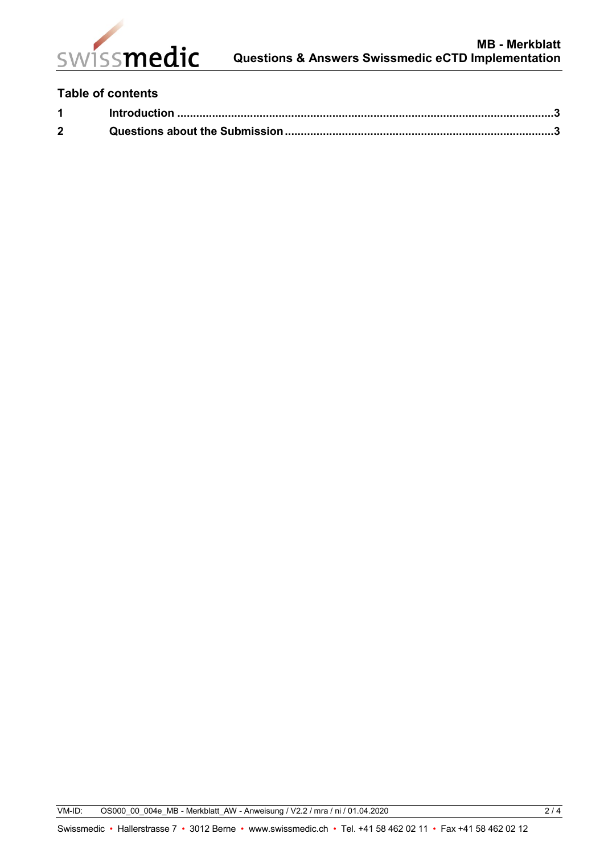

## **Table of contents**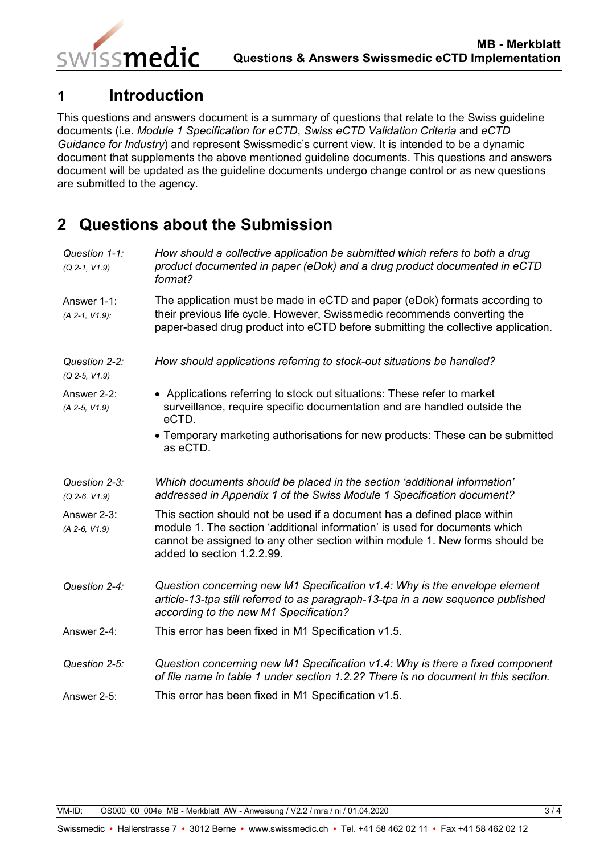

<span id="page-2-0"></span>

issmedic

This questions and answers document is a summary of questions that relate to the Swiss guideline documents (i.e. *Module 1 Specification for eCTD*, *Swiss eCTD Validation Criteria* and *eCTD Guidance for Industry*) and represent Swissmedic's current view. It is intended to be a dynamic document that supplements the above mentioned guideline documents. This questions and answers document will be updated as the guideline documents undergo change control or as new questions are submitted to the agency.

## <span id="page-2-1"></span>**2 Questions about the Submission**

| Question 1-1:<br>$(Q 2-1, V1.9)$ | How should a collective application be submitted which refers to both a drug<br>product documented in paper (eDok) and a drug product documented in eCTD<br>format?                                                                                                  |
|----------------------------------|----------------------------------------------------------------------------------------------------------------------------------------------------------------------------------------------------------------------------------------------------------------------|
| Answer 1-1:<br>(A 2-1, V1.9):    | The application must be made in eCTD and paper (eDok) formats according to<br>their previous life cycle. However, Swissmedic recommends converting the<br>paper-based drug product into eCTD before submitting the collective application.                           |
| Question 2-2:<br>(Q 2-5, V1.9)   | How should applications referring to stock-out situations be handled?                                                                                                                                                                                                |
| Answer 2-2:<br>$(A 2-5, V1.9)$   | • Applications referring to stock out situations: These refer to market<br>surveillance, require specific documentation and are handled outside the<br>eCTD.                                                                                                         |
|                                  | • Temporary marketing authorisations for new products: These can be submitted<br>as eCTD.                                                                                                                                                                            |
| Question 2-3:<br>$(Q 2-6, V1.9)$ | Which documents should be placed in the section 'additional information'<br>addressed in Appendix 1 of the Swiss Module 1 Specification document?                                                                                                                    |
| Answer 2-3:<br>$(A 2-6, V1.9)$   | This section should not be used if a document has a defined place within<br>module 1. The section 'additional information' is used for documents which<br>cannot be assigned to any other section within module 1. New forms should be<br>added to section 1.2.2.99. |
| Question 2-4:                    | Question concerning new M1 Specification v1.4: Why is the envelope element<br>article-13-tpa still referred to as paragraph-13-tpa in a new sequence published<br>according to the new M1 Specification?                                                             |
| Answer 2-4:                      | This error has been fixed in M1 Specification v1.5.                                                                                                                                                                                                                  |
| Question 2-5:                    | Question concerning new M1 Specification v1.4: Why is there a fixed component<br>of file name in table 1 under section 1.2.2? There is no document in this section.                                                                                                  |
| Answer 2-5:                      | This error has been fixed in M1 Specification v1.5.                                                                                                                                                                                                                  |